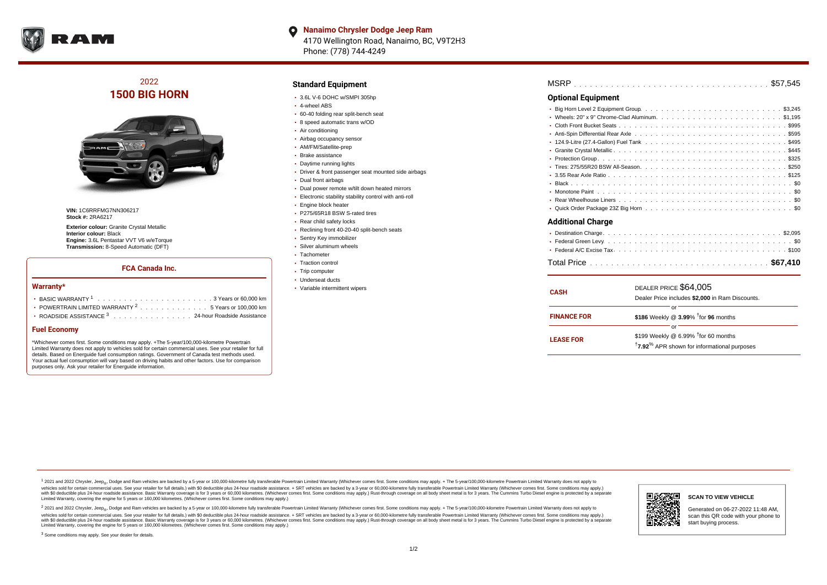

**Nanaimo Chrysler Dodge Jeep Ram**  $\bullet$ 4170 Wellington Road, Nanaimo, BC, V9T2H3 Phone: (778) 744-4249

# 2022 **1500 BIG HORN**



**VIN:** 1C6RRFMG7NN306217 **Stock #:** 2RA6217

**Exterior colour:** Granite Crystal Metallic **Interior colour:** Black **Engine:** 3.6L Pentastar VVT V6 w/eTorque **Transmission:** 8-Speed Automatic (DFT)

### **FCA Canada Inc.**

#### **Warranty\***

| • POWERTRAIN LIMITED WARRANTY $2, \ldots, \ldots, \ldots, \ldots, 5$ Years or 100,000 km |  |  |  |
|------------------------------------------------------------------------------------------|--|--|--|
| ROADSIDE ASSISTANCE 3 24-hour Roadside Assistance                                        |  |  |  |

#### **Fuel Economy**

\*Whichever comes first. Some conditions may apply. +The 5-year/100,000-kilometre Powertrain Limited Warranty does not apply to vehicles sold for certain commercial uses. See your retailer for full details. Based on Energuide fuel consumption ratings. Government of Canada test methods used. Your actual fuel consumption will vary based on driving habits and other factors. Use for comparison purposes only. Ask your retailer for Energuide information.

### **Standard Equipment**

- 3.6L V-6 DOHC w/SMPI 305hp
- 4-wheel ABS
- 60-40 folding rear split-bench seat
- 8 speed automatic trans w/OD
- Air conditioning
- Airbag occupancy sensor
- AM/FM/Satellite-prep
- Brake assistance
- Daytime running lights
- Driver & front passenger seat mounted side airbags
- Dual front airbags
- Dual power remote w/tilt down heated mirrors
- Electronic stability stability control with anti-roll
- **Engine block heater**
- P275/65R18 BSW S-rated tires
- Rear child safety locks
- Reclining front 40-20-40 split-bench seats
- Sentry Key immobilizer
- Silver aluminum wheels
- Tachometer
- Traction control
- Trip computer
- Underseat ducts
- Variable intermittent wipers

| <b>MSRP</b> |  |  |  |  |  |  |  |  |  |  |  |  |  |  |  |  |  |  |  |  |  |  |  |  |  |  |  |  |  |  |  |  |  |  |  |  |  |  |  |  |  |
|-------------|--|--|--|--|--|--|--|--|--|--|--|--|--|--|--|--|--|--|--|--|--|--|--|--|--|--|--|--|--|--|--|--|--|--|--|--|--|--|--|--|--|
|-------------|--|--|--|--|--|--|--|--|--|--|--|--|--|--|--|--|--|--|--|--|--|--|--|--|--|--|--|--|--|--|--|--|--|--|--|--|--|--|--|--|--|

## **Optional Equipment**

| المسميات المسمئلا الماه |
|-------------------------|

#### **Additional Charge**

| <b>CASH</b>        | DEALER PRICE \$64,005<br>Dealer Price includes \$2,000 in Ram Discounts.                                                     |  |  |  |  |  |  |  |  |  |
|--------------------|------------------------------------------------------------------------------------------------------------------------------|--|--|--|--|--|--|--|--|--|
| <b>FINANCE FOR</b> | or<br>\$186 Weekly @ 3.99% <sup>t</sup> for 96 months                                                                        |  |  |  |  |  |  |  |  |  |
| <b>LEASE FOR</b>   | or<br>\$199 Weekly @ 6.99% <sup>†</sup> for 60 months<br><sup>†</sup> 7.92 <sup>%</sup> APR shown for informational purposes |  |  |  |  |  |  |  |  |  |

<sup>1</sup> 2021 and 2022 Chrysler, Jeep<sub>®</sub>, Dodge and Ram vehicles are backed by a 5-year or 100,000-kilometre fully transferable Powertrain Limited Warranty (Whichever comes first. Some conditions may apply. + The 5-year/100,000 vehicles sold for certain commercial uses. See your retailer for full details.) with \$0 deductible plus 24 hour roadside assistance. + SRT vehicles are backed by a 3-year or 60,000-kilometre fully transferable Powertrain L versus and contract the mean of the contract of the contract with a contract with a contract the contract of the contract of the contract the contract of the contract of the contract of the contract of the contract of the Limited Warranty, covering the engine for 5 years or 160,000 kilometres. (Whichever comes first. Some conditions may apply.)

2 2021 and 2022 Chrysler, Jeep<sub>®</sub>, Dodge and Ram vehicles are backed by a 5-year or 100,000-kilometre fully transferable Powertrain Limited Warranty (Whichever comes first. Some conditions may apply. + The 5-year/100,000-k vehicles sold for certain commercial uses. See your retailer for full details.) with SO deductible plus 24-hour roadside assistance. + SRT vehicles are backed by a 3-year or 60.000-kilometre fully transferable Powertrain. with S0 deductible plus 24-hour roadside assistance. Basic Warranty coverage is for 3 years or 60,000 kilometres. (Whichever comes first. Some conditions may apply.) Rust-through coverage on all body sheet metal is for 3 y

<sup>3</sup> Some conditions may apply. See your dealer for details.



Generated on 06-27-2022 11:48 AM, scan this QR code with your phone to start buying process.